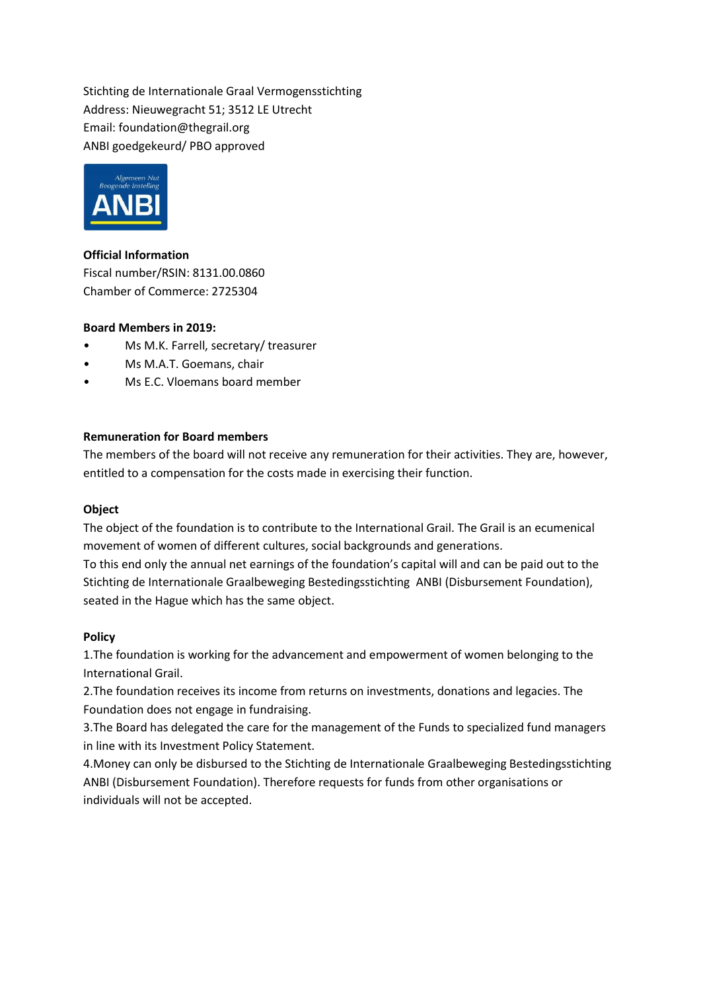Stichting de Internationale Graal Vermogensstichting Address: Nieuwegracht 51; 3512 LE Utrecht Email: foundation@thegrail.org ANBI goedgekeurd/ PBO approved



**Official Information** Fiscal number/RSIN: 8131.00.0860 Chamber of Commerce: 2725304

## **Board Members in 2019:**

- Ms M.K. Farrell, secretary/ treasurer
- Ms M.A.T. Goemans, chair
- Ms E.C. Vloemans board member

## **Remuneration for Board members**

The members of the board will not receive any remuneration for their activities. They are, however, entitled to a compensation for the costs made in exercising their function.

#### **Object**

The object of the foundation is to contribute to the International Grail. The Grail is an ecumenical movement of women of different cultures, social backgrounds and generations.

To this end only the annual net earnings of the foundation's capital will and can be paid out to the Stichting de Internationale Graalbeweging Bestedingsstichting ANBI (Disbursement Foundation), seated in the Hague which has the same object.

#### **Policy**

1.The foundation is working for the advancement and empowerment of women belonging to the International Grail.

2.The foundation receives its income from returns on investments, donations and legacies. The Foundation does not engage in fundraising.

3.The Board has delegated the care for the management of the Funds to specialized fund managers in line with its Investment Policy Statement.

4.Money can only be disbursed to the Stichting de Internationale Graalbeweging Bestedingsstichting ANBI (Disbursement Foundation). Therefore requests for funds from other organisations or individuals will not be accepted.